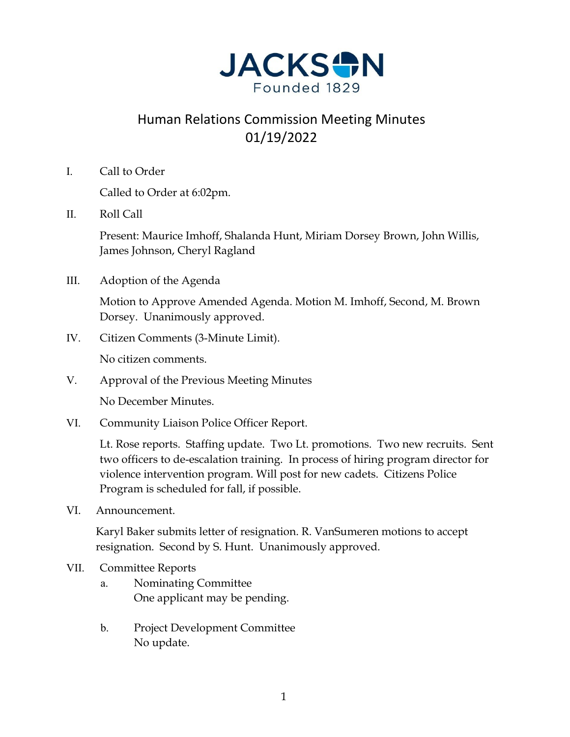

# Human Relations Commission Meeting Minutes 01/19/2022

I. Call to Order

Called to Order at 6:02pm.

II. Roll Call

Present: Maurice Imhoff, Shalanda Hunt, Miriam Dorsey Brown, John Willis, James Johnson, Cheryl Ragland

III. Adoption of the Agenda

Motion to Approve Amended Agenda. Motion M. Imhoff, Second, M. Brown Dorsey. Unanimously approved.

IV. Citizen Comments (3-Minute Limit).

No citizen comments.

V. Approval of the Previous Meeting Minutes

No December Minutes.

VI. Community Liaison Police Officer Report.

Lt. Rose reports. Staffing update. Two Lt. promotions. Two new recruits. Sent two officers to de-escalation training. In process of hiring program director for violence intervention program. Will post for new cadets. Citizens Police Program is scheduled for fall, if possible.

VI. Announcement.

Karyl Baker submits letter of resignation. R. VanSumeren motions to accept resignation. Second by S. Hunt. Unanimously approved.

- VII. Committee Reports
	- a. Nominating Committee One applicant may be pending.
	- b. Project Development Committee No update.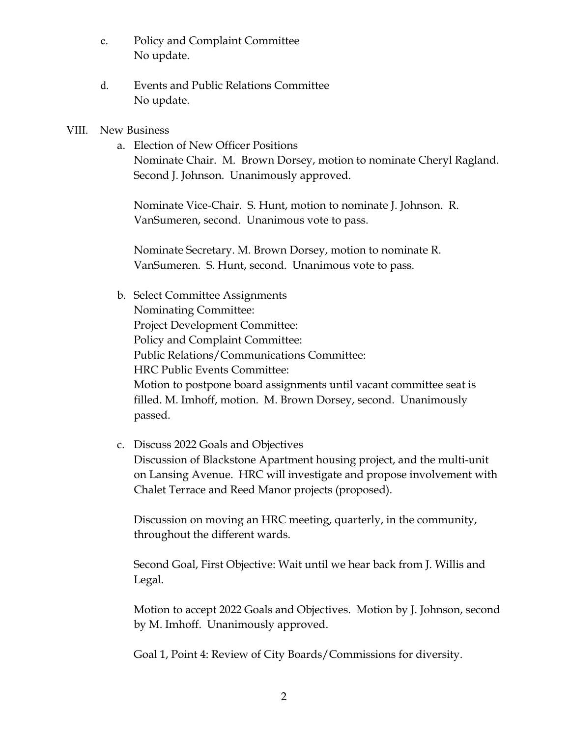- c. Policy and Complaint Committee No update.
- d. Events and Public Relations Committee No update.

#### VIII. New Business

a. Election of New Officer Positions Nominate Chair. M. Brown Dorsey, motion to nominate Cheryl Ragland. Second J. Johnson. Unanimously approved.

Nominate Vice-Chair. S. Hunt, motion to nominate J. Johnson. R. VanSumeren, second. Unanimous vote to pass.

Nominate Secretary. M. Brown Dorsey, motion to nominate R. VanSumeren. S. Hunt, second. Unanimous vote to pass.

b. Select Committee Assignments Nominating Committee: Project Development Committee: Policy and Complaint Committee: Public Relations/Communications Committee: HRC Public Events Committee: Motion to postpone board assignments until vacant committee seat is filled. M. Imhoff, motion. M. Brown Dorsey, second. Unanimously passed.

### c. Discuss 2022 Goals and Objectives

Discussion of Blackstone Apartment housing project, and the multi-unit on Lansing Avenue. HRC will investigate and propose involvement with Chalet Terrace and Reed Manor projects (proposed).

Discussion on moving an HRC meeting, quarterly, in the community, throughout the different wards.

Second Goal, First Objective: Wait until we hear back from J. Willis and Legal.

Motion to accept 2022 Goals and Objectives. Motion by J. Johnson, second by M. Imhoff. Unanimously approved.

Goal 1, Point 4: Review of City Boards/Commissions for diversity.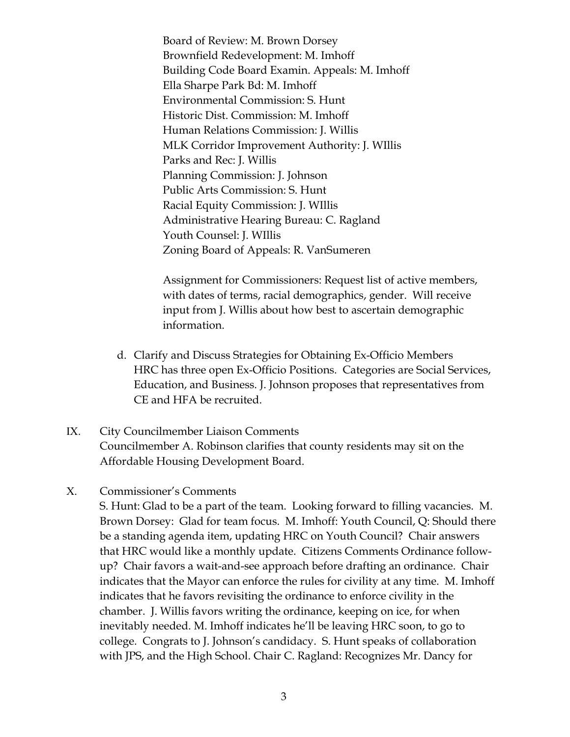Board of Review: M. Brown Dorsey Brownfield Redevelopment: M. Imhoff Building Code Board Examin. Appeals: M. Imhoff Ella Sharpe Park Bd: M. Imhoff Environmental Commission: S. Hunt Historic Dist. Commission: M. Imhoff Human Relations Commission: J. Willis MLK Corridor Improvement Authority: J. WIllis Parks and Rec: J. Willis Planning Commission: J. Johnson Public Arts Commission: S. Hunt Racial Equity Commission: J. WIllis Administrative Hearing Bureau: C. Ragland Youth Counsel: J. WIllis Zoning Board of Appeals: R. VanSumeren

Assignment for Commissioners: Request list of active members, with dates of terms, racial demographics, gender. Will receive input from J. Willis about how best to ascertain demographic information.

- d. Clarify and Discuss Strategies for Obtaining Ex-Officio Members HRC has three open Ex-Officio Positions. Categories are Social Services, Education, and Business. J. Johnson proposes that representatives from CE and HFA be recruited.
- IX. City Councilmember Liaison Comments Councilmember A. Robinson clarifies that county residents may sit on the Affordable Housing Development Board.

### X. Commissioner's Comments

S. Hunt: Glad to be a part of the team. Looking forward to filling vacancies. M. Brown Dorsey: Glad for team focus. M. Imhoff: Youth Council, Q: Should there be a standing agenda item, updating HRC on Youth Council? Chair answers that HRC would like a monthly update. Citizens Comments Ordinance followup? Chair favors a wait-and-see approach before drafting an ordinance. Chair indicates that the Mayor can enforce the rules for civility at any time. M. Imhoff indicates that he favors revisiting the ordinance to enforce civility in the chamber. J. Willis favors writing the ordinance, keeping on ice, for when inevitably needed. M. Imhoff indicates he'll be leaving HRC soon, to go to college. Congrats to J. Johnson's candidacy. S. Hunt speaks of collaboration with JPS, and the High School. Chair C. Ragland: Recognizes Mr. Dancy for